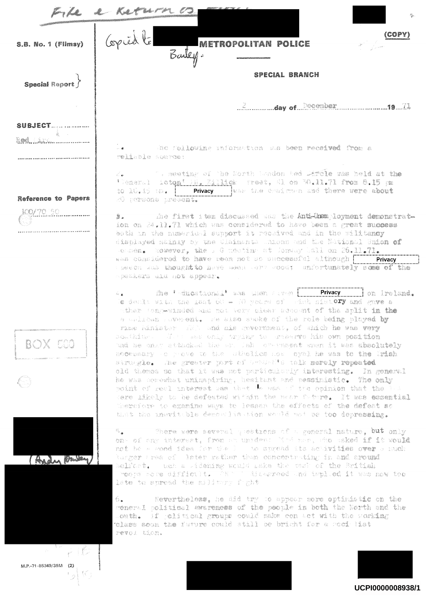| <u>a Katempo C</u><br>- Le<br>龙 |                                                                                                                                                                                                                                                                                                                                                                                                                                                                                                                                                                                                                                                                                                                                                                                                                                                                                                                                                                                                                                             |  |
|---------------------------------|---------------------------------------------------------------------------------------------------------------------------------------------------------------------------------------------------------------------------------------------------------------------------------------------------------------------------------------------------------------------------------------------------------------------------------------------------------------------------------------------------------------------------------------------------------------------------------------------------------------------------------------------------------------------------------------------------------------------------------------------------------------------------------------------------------------------------------------------------------------------------------------------------------------------------------------------------------------------------------------------------------------------------------------------|--|
| S.B. No. 1 (Flimsy)             | Copied to<br><b>METROPOLITAN POLICE</b><br>Barley.                                                                                                                                                                                                                                                                                                                                                                                                                                                                                                                                                                                                                                                                                                                                                                                                                                                                                                                                                                                          |  |
| Special Report                  | <b>SPECIAL BRANCH</b>                                                                                                                                                                                                                                                                                                                                                                                                                                                                                                                                                                                                                                                                                                                                                                                                                                                                                                                                                                                                                       |  |
|                                 |                                                                                                                                                                                                                                                                                                                                                                                                                                                                                                                                                                                                                                                                                                                                                                                                                                                                                                                                                                                                                                             |  |
| <b>SUBJECT</b>                  |                                                                                                                                                                                                                                                                                                                                                                                                                                                                                                                                                                                                                                                                                                                                                                                                                                                                                                                                                                                                                                             |  |
|                                 | -. ac following information as been received from a<br>reliable surres:                                                                                                                                                                                                                                                                                                                                                                                                                                                                                                                                                                                                                                                                                                                                                                                                                                                                                                                                                                     |  |
| Reference to Papers             | 2. The meeting of the Borth London hed Diffele was held at the<br>'Weneral icton' Mi Killick treet, Ml on 30.11.71 from 8.15 pm<br>20 persons present.                                                                                                                                                                                                                                                                                                                                                                                                                                                                                                                                                                                                                                                                                                                                                                                                                                                                                      |  |
| 600/70.50                       | #. The first two discussed was the Anti-Unemployment demonstrat-<br>ion on 24.11.71 which was considered to have been a great success<br>both in the manerial support it readived and in the militancy<br>displayed mainly by the Claimants which and the National Smion of<br>Semben. Rowever, the . G meeting at Jonany Ball on 26.11.71.<br>was considered to have been not so successful although we Privacy<br>peech and thought to have need care wood; unfortunately some of the<br>speekers ald hot appear.                                                                                                                                                                                                                                                                                                                                                                                                                                                                                                                         |  |
| <b>BOX EGG</b>                  | A. The 'ducational' was men aryon with Privacy and Ireland.<br>le dealt with the iast 60 - 10 years of wint nist. Ory and gave a<br>wither Congestrated and not very clear account of the aplit in the<br>a welfour soverent. We also sake of the role being played by<br>rime hinister (RA and als government, of which he was very<br>Southing . The same only trying to preserve his own position<br>und he onav attacked the or Jah overneent when it was absolutely<br>necessary o preve to the atholics now cyal he was to the Irish<br>strangle. The greater part of betund's talk mercly repeated<br>old themes so that it was not particularly interesting. In general<br>he was corewhat unimapiring, hesitant and pessimistic. The only<br>point of real unterrest was that the max of the opinion that the Balcoc<br>sere likely to be defeated within the noar future. It was essential<br>Thermiciv to examine ways to lessen the effects of the defeat mo<br>that the inevitable democrits tion would not be too depressing. |  |
|                                 | There were several peations of a general nature, but only<br>鸟雀<br>ong of any interest, from an upident lind man, the usked if it would<br>not he a good idea for the I and spread its activities over a much<br>lurger trea of later rather than concentrating in and around<br>belfort. Ruch a Rideming would gake the sask of the British<br>moops some difficult. That i diampreed and implied it was now too<br>late to spread the military faght                                                                                                                                                                                                                                                                                                                                                                                                                                                                                                                                                                                      |  |
|                                 | 6.<br>Eevertheless, he did try to appear more optimistic on the<br>general political awareness of the people in both the North and the<br>Louth. If political groups could make con act with the working<br>telass soon the furure could still be bright for a socialist<br>revol tion.                                                                                                                                                                                                                                                                                                                                                                                                                                                                                                                                                                                                                                                                                                                                                     |  |
| 나는 어디<br>M.P.-71-85349/36M (2)  |                                                                                                                                                                                                                                                                                                                                                                                                                                                                                                                                                                                                                                                                                                                                                                                                                                                                                                                                                                                                                                             |  |
|                                 |                                                                                                                                                                                                                                                                                                                                                                                                                                                                                                                                                                                                                                                                                                                                                                                                                                                                                                                                                                                                                                             |  |

UCPI0000008938/1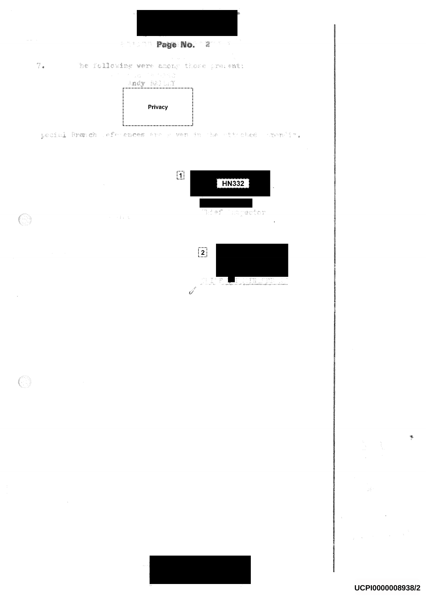

UCPI0000008938/2

Y.